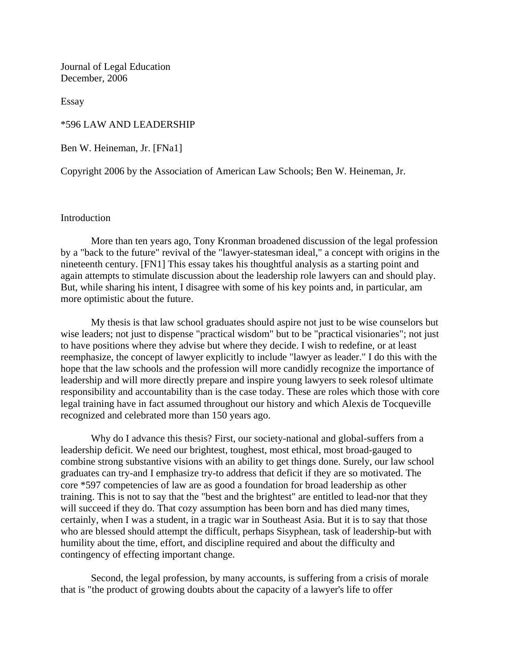Journal of Legal Education December, 2006

Essay

\*596 LAW AND LEADERSHIP

Ben W. Heineman, Jr. [FNa1]

Copyright 2006 by the Association of American Law Schools; Ben W. Heineman, Jr.

## Introduction

More than ten years ago, Tony Kronman broadened discussion of the legal profession by a "back to the future" revival of the "lawyer-statesman ideal," a concept with origins in the nineteenth century. [FN1] This essay takes his thoughtful analysis as a starting point and again attempts to stimulate discussion about the leadership role lawyers can and should play. But, while sharing his intent, I disagree with some of his key points and, in particular, am more optimistic about the future.

My thesis is that law school graduates should aspire not just to be wise counselors but wise leaders; not just to dispense "practical wisdom" but to be "practical visionaries"; not just to have positions where they advise but where they decide. I wish to redefine, or at least reemphasize, the concept of lawyer explicitly to include "lawyer as leader." I do this with the hope that the law schools and the profession will more candidly recognize the importance of leadership and will more directly prepare and inspire young lawyers to seek rolesof ultimate responsibility and accountability than is the case today. These are roles which those with core legal training have in fact assumed throughout our history and which Alexis de Tocqueville recognized and celebrated more than 150 years ago.

Why do I advance this thesis? First, our society-national and global-suffers from a leadership deficit. We need our brightest, toughest, most ethical, most broad-gauged to combine strong substantive visions with an ability to get things done. Surely, our law school graduates can try-and I emphasize try-to address that deficit if they are so motivated. The core \*597 competencies of law are as good a foundation for broad leadership as other training. This is not to say that the "best and the brightest" are entitled to lead-nor that they will succeed if they do. That cozy assumption has been born and has died many times, certainly, when I was a student, in a tragic war in Southeast Asia. But it is to say that those who are blessed should attempt the difficult, perhaps Sisyphean, task of leadership-but with humility about the time, effort, and discipline required and about the difficulty and contingency of effecting important change.

Second, the legal profession, by many accounts, is suffering from a crisis of morale that is "the product of growing doubts about the capacity of a lawyer's life to offer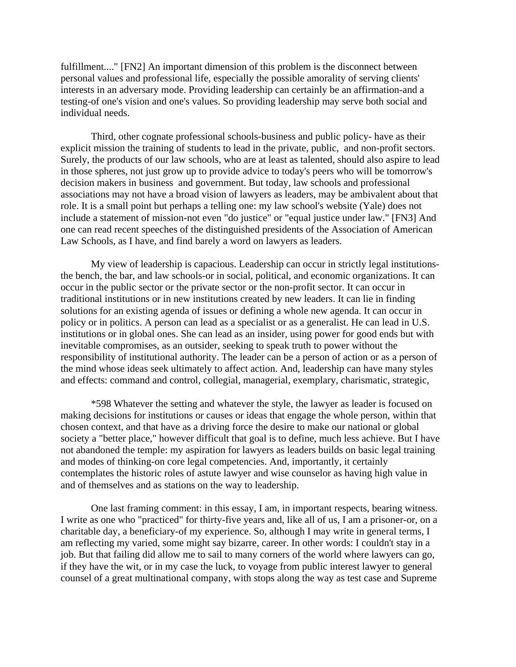fulfillment...." [FN2] An important dimension of this problem is the disconnect between personal values and professional life, especially the possible amorality of serving clients' interests in an adversary mode. Providing leadership can certainly be an affirmation-and a testing-of one's vision and one's values. So providing leadership may serve both social and individual needs.

Third, other cognate professional schools-business and public policy- have as their explicit mission the training of students to lead in the private, public, and non-profit sectors. Surely, the products of our law schools, who are at least as talented, should also aspire to lead in those spheres, not just grow up to provide advice to today's peers who will be tomorrow's decision makers in business and government. But today, law schools and professional associations may not have a broad vision of lawyers as leaders, may be ambivalent about that role. It is a small point but perhaps a telling one: my law school's website (Yale) does not include a statement of mission-not even "do justice" or "equal justice under law." [FN3] And one can read recent speeches of the distinguished presidents of the Association of American Law Schools, as I have, and find barely a word on lawyers as leaders.

My view of leadership is capacious. Leadership can occur in strictly legal institutionsthe bench, the bar, and law schools-or in social, political, and economic organizations. It can occur in the public sector or the private sector or the non-profit sector. It can occur in traditional institutions or in new institutions created by new leaders. It can lie in finding solutions for an existing agenda of issues or defining a whole new agenda. It can occur in policy or in politics. A person can lead as a specialist or as a generalist. He can lead in U.S. institutions or in global ones. She can lead as an insider, using power for good ends but with inevitable compromises, as an outsider, seeking to speak truth to power without the responsibility of institutional authority. The leader can be a person of action or as a person of the mind whose ideas seek ultimately to affect action. And, leadership can have many styles and effects: command and control, collegial, managerial, exemplary, charismatic, strategic,

\*598 Whatever the setting and whatever the style, the lawyer as leader is focused on making decisions for institutions or causes or ideas that engage the whole person, within that chosen context, and that have as a driving force the desire to make our national or global society a "better place," however difficult that goal is to define, much less achieve. But I have not abandoned the temple: my aspiration for lawyers as leaders builds on basic legal training and modes of thinking-on core legal competencies. And, importantly, it certainly contemplates the historic roles of astute lawyer and wise counselor as having high value in and of themselves and as stations on the way to leadership.

One last framing comment: in this essay, I am, in important respects, bearing witness. I write as one who "practiced" for thirty-five years and, like all of us, I am a prisoner-or, on a charitable day, a beneficiary-of my experience. So, although I may write in general terms, I am reflecting my varied, some might say bizarre, career. In other words: I couldn't stay in a job. But that failing did allow me to sail to many corners of the world where lawyers can go, if they have the wit, or in my case the luck, to voyage from public interest lawyer to general counsel of a great multinational company, with stops along the way as test case and Supreme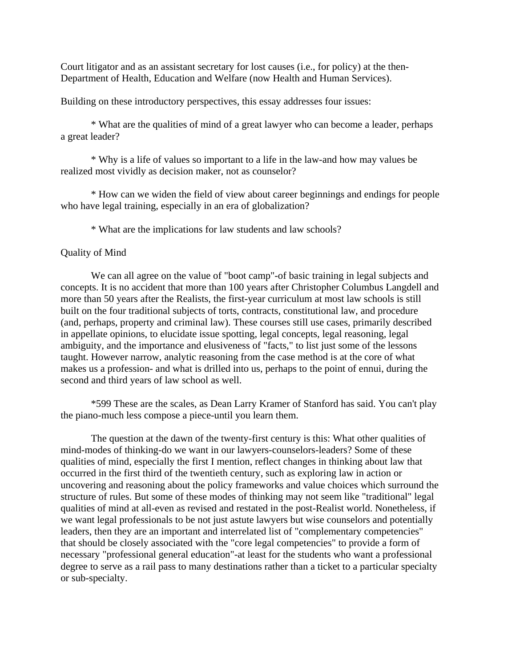Court litigator and as an assistant secretary for lost causes (i.e., for policy) at the then-Department of Health, Education and Welfare (now Health and Human Services).

Building on these introductory perspectives, this essay addresses four issues:

\* What are the qualities of mind of a great lawyer who can become a leader, perhaps a great leader?

\* Why is a life of values so important to a life in the law-and how may values be realized most vividly as decision maker, not as counselor?

\* How can we widen the field of view about career beginnings and endings for people who have legal training, especially in an era of globalization?

\* What are the implications for law students and law schools?

### Quality of Mind

We can all agree on the value of "boot camp"-of basic training in legal subjects and concepts. It is no accident that more than 100 years after Christopher Columbus Langdell and more than 50 years after the Realists, the first-year curriculum at most law schools is still built on the four traditional subjects of torts, contracts, constitutional law, and procedure (and, perhaps, property and criminal law). These courses still use cases, primarily described in appellate opinions, to elucidate issue spotting, legal concepts, legal reasoning, legal ambiguity, and the importance and elusiveness of "facts," to list just some of the lessons taught. However narrow, analytic reasoning from the case method is at the core of what makes us a profession- and what is drilled into us, perhaps to the point of ennui, during the second and third years of law school as well.

\*599 These are the scales, as Dean Larry Kramer of Stanford has said. You can't play the piano-much less compose a piece-until you learn them.

The question at the dawn of the twenty-first century is this: What other qualities of mind-modes of thinking-do we want in our lawyers-counselors-leaders? Some of these qualities of mind, especially the first I mention, reflect changes in thinking about law that occurred in the first third of the twentieth century, such as exploring law in action or uncovering and reasoning about the policy frameworks and value choices which surround the structure of rules. But some of these modes of thinking may not seem like "traditional" legal qualities of mind at all-even as revised and restated in the post-Realist world. Nonetheless, if we want legal professionals to be not just astute lawyers but wise counselors and potentially leaders, then they are an important and interrelated list of "complementary competencies" that should be closely associated with the "core legal competencies" to provide a form of necessary "professional general education"-at least for the students who want a professional degree to serve as a rail pass to many destinations rather than a ticket to a particular specialty or sub-specialty.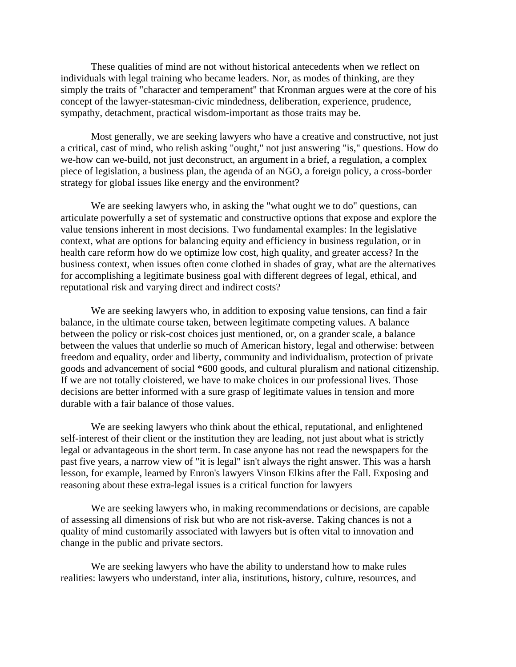These qualities of mind are not without historical antecedents when we reflect on individuals with legal training who became leaders. Nor, as modes of thinking, are they simply the traits of "character and temperament" that Kronman argues were at the core of his concept of the lawyer-statesman-civic mindedness, deliberation, experience, prudence, sympathy, detachment, practical wisdom-important as those traits may be.

Most generally, we are seeking lawyers who have a creative and constructive, not just a critical, cast of mind, who relish asking "ought," not just answering "is," questions. How do we-how can we-build, not just deconstruct, an argument in a brief, a regulation, a complex piece of legislation, a business plan, the agenda of an NGO, a foreign policy, a cross-border strategy for global issues like energy and the environment?

We are seeking lawyers who, in asking the "what ought we to do" questions, can articulate powerfully a set of systematic and constructive options that expose and explore the value tensions inherent in most decisions. Two fundamental examples: In the legislative context, what are options for balancing equity and efficiency in business regulation, or in health care reform how do we optimize low cost, high quality, and greater access? In the business context, when issues often come clothed in shades of gray, what are the alternatives for accomplishing a legitimate business goal with different degrees of legal, ethical, and reputational risk and varying direct and indirect costs?

We are seeking lawyers who, in addition to exposing value tensions, can find a fair balance, in the ultimate course taken, between legitimate competing values. A balance between the policy or risk-cost choices just mentioned, or, on a grander scale, a balance between the values that underlie so much of American history, legal and otherwise: between freedom and equality, order and liberty, community and individualism, protection of private goods and advancement of social \*600 goods, and cultural pluralism and national citizenship. If we are not totally cloistered, we have to make choices in our professional lives. Those decisions are better informed with a sure grasp of legitimate values in tension and more durable with a fair balance of those values.

We are seeking lawyers who think about the ethical, reputational, and enlightened self-interest of their client or the institution they are leading, not just about what is strictly legal or advantageous in the short term. In case anyone has not read the newspapers for the past five years, a narrow view of "it is legal" isn't always the right answer. This was a harsh lesson, for example, learned by Enron's lawyers Vinson Elkins after the Fall. Exposing and reasoning about these extra-legal issues is a critical function for lawyers

We are seeking lawyers who, in making recommendations or decisions, are capable of assessing all dimensions of risk but who are not risk-averse. Taking chances is not a quality of mind customarily associated with lawyers but is often vital to innovation and change in the public and private sectors.

We are seeking lawyers who have the ability to understand how to make rules realities: lawyers who understand, inter alia, institutions, history, culture, resources, and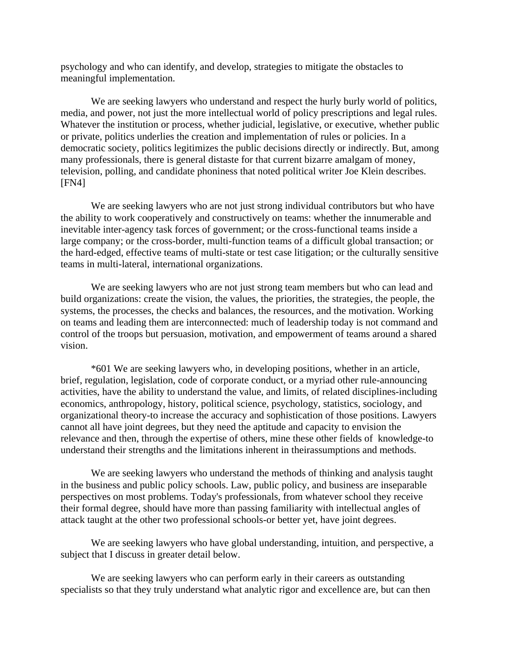psychology and who can identify, and develop, strategies to mitigate the obstacles to meaningful implementation.

We are seeking lawyers who understand and respect the hurly burly world of politics, media, and power, not just the more intellectual world of policy prescriptions and legal rules. Whatever the institution or process, whether judicial, legislative, or executive, whether public or private, politics underlies the creation and implementation of rules or policies. In a democratic society, politics legitimizes the public decisions directly or indirectly. But, among many professionals, there is general distaste for that current bizarre amalgam of money, television, polling, and candidate phoniness that noted political writer Joe Klein describes. [FN4]

We are seeking lawyers who are not just strong individual contributors but who have the ability to work cooperatively and constructively on teams: whether the innumerable and inevitable inter-agency task forces of government; or the cross-functional teams inside a large company; or the cross-border, multi-function teams of a difficult global transaction; or the hard-edged, effective teams of multi-state or test case litigation; or the culturally sensitive teams in multi-lateral, international organizations.

We are seeking lawyers who are not just strong team members but who can lead and build organizations: create the vision, the values, the priorities, the strategies, the people, the systems, the processes, the checks and balances, the resources, and the motivation. Working on teams and leading them are interconnected: much of leadership today is not command and control of the troops but persuasion, motivation, and empowerment of teams around a shared vision.

\*601 We are seeking lawyers who, in developing positions, whether in an article, brief, regulation, legislation, code of corporate conduct, or a myriad other rule-announcing activities, have the ability to understand the value, and limits, of related disciplines-including economics, anthropology, history, political science, psychology, statistics, sociology, and organizational theory-to increase the accuracy and sophistication of those positions. Lawyers cannot all have joint degrees, but they need the aptitude and capacity to envision the relevance and then, through the expertise of others, mine these other fields of knowledge-to understand their strengths and the limitations inherent in theirassumptions and methods.

We are seeking lawyers who understand the methods of thinking and analysis taught in the business and public policy schools. Law, public policy, and business are inseparable perspectives on most problems. Today's professionals, from whatever school they receive their formal degree, should have more than passing familiarity with intellectual angles of attack taught at the other two professional schools-or better yet, have joint degrees.

We are seeking lawyers who have global understanding, intuition, and perspective, a subject that I discuss in greater detail below.

We are seeking lawyers who can perform early in their careers as outstanding specialists so that they truly understand what analytic rigor and excellence are, but can then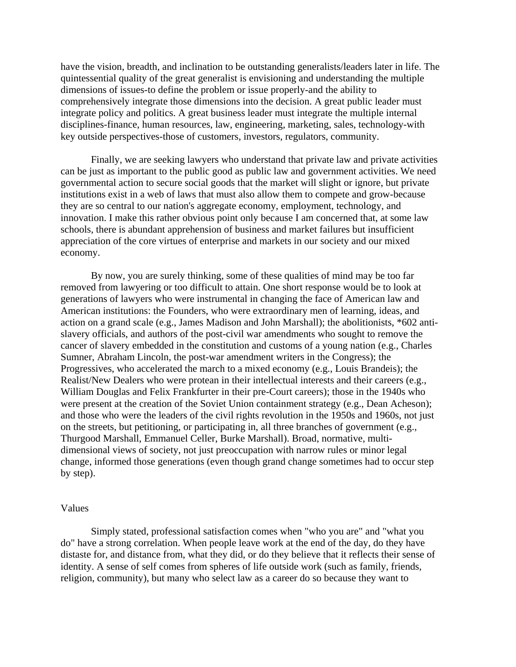have the vision, breadth, and inclination to be outstanding generalists/leaders later in life. The quintessential quality of the great generalist is envisioning and understanding the multiple dimensions of issues-to define the problem or issue properly-and the ability to comprehensively integrate those dimensions into the decision. A great public leader must integrate policy and politics. A great business leader must integrate the multiple internal disciplines-finance, human resources, law, engineering, marketing, sales, technology-with key outside perspectives-those of customers, investors, regulators, community.

Finally, we are seeking lawyers who understand that private law and private activities can be just as important to the public good as public law and government activities. We need governmental action to secure social goods that the market will slight or ignore, but private institutions exist in a web of laws that must also allow them to compete and grow-because they are so central to our nation's aggregate economy, employment, technology, and innovation. I make this rather obvious point only because I am concerned that, at some law schools, there is abundant apprehension of business and market failures but insufficient appreciation of the core virtues of enterprise and markets in our society and our mixed economy.

By now, you are surely thinking, some of these qualities of mind may be too far removed from lawyering or too difficult to attain. One short response would be to look at generations of lawyers who were instrumental in changing the face of American law and American institutions: the Founders, who were extraordinary men of learning, ideas, and action on a grand scale (e.g., James Madison and John Marshall); the abolitionists, \*602 antislavery officials, and authors of the post-civil war amendments who sought to remove the cancer of slavery embedded in the constitution and customs of a young nation (e.g., Charles Sumner, Abraham Lincoln, the post-war amendment writers in the Congress); the Progressives, who accelerated the march to a mixed economy (e.g., Louis Brandeis); the Realist/New Dealers who were protean in their intellectual interests and their careers (e.g., William Douglas and Felix Frankfurter in their pre-Court careers); those in the 1940s who were present at the creation of the Soviet Union containment strategy (e.g., Dean Acheson); and those who were the leaders of the civil rights revolution in the 1950s and 1960s, not just on the streets, but petitioning, or participating in, all three branches of government (e.g., Thurgood Marshall, Emmanuel Celler, Burke Marshall). Broad, normative, multidimensional views of society, not just preoccupation with narrow rules or minor legal change, informed those generations (even though grand change sometimes had to occur step by step).

### Values

Simply stated, professional satisfaction comes when "who you are" and "what you do" have a strong correlation. When people leave work at the end of the day, do they have distaste for, and distance from, what they did, or do they believe that it reflects their sense of identity. A sense of self comes from spheres of life outside work (such as family, friends, religion, community), but many who select law as a career do so because they want to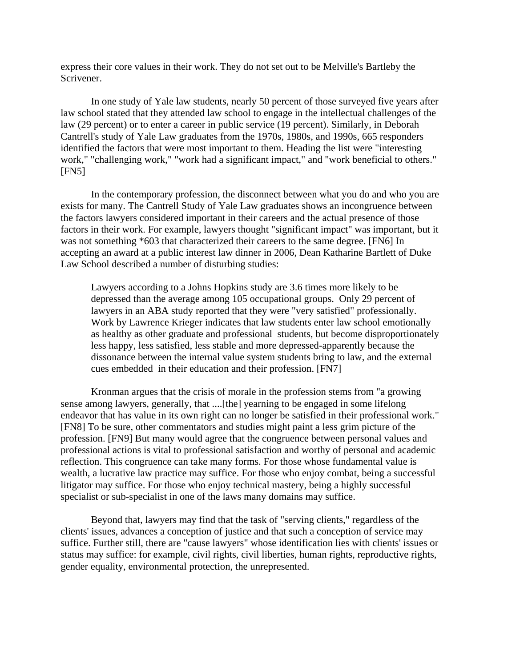express their core values in their work. They do not set out to be Melville's Bartleby the Scrivener.

In one study of Yale law students, nearly 50 percent of those surveyed five years after law school stated that they attended law school to engage in the intellectual challenges of the law (29 percent) or to enter a career in public service (19 percent). Similarly, in Deborah Cantrell's study of Yale Law graduates from the 1970s, 1980s, and 1990s, 665 responders identified the factors that were most important to them. Heading the list were "interesting work," "challenging work," "work had a significant impact," and "work beneficial to others." [FN5]

In the contemporary profession, the disconnect between what you do and who you are exists for many. The Cantrell Study of Yale Law graduates shows an incongruence between the factors lawyers considered important in their careers and the actual presence of those factors in their work. For example, lawyers thought "significant impact" was important, but it was not something \*603 that characterized their careers to the same degree. [FN6] In accepting an award at a public interest law dinner in 2006, Dean Katharine Bartlett of Duke Law School described a number of disturbing studies:

Lawyers according to a Johns Hopkins study are 3.6 times more likely to be depressed than the average among 105 occupational groups. Only 29 percent of lawyers in an ABA study reported that they were "very satisfied" professionally. Work by Lawrence Krieger indicates that law students enter law school emotionally as healthy as other graduate and professional students, but become disproportionately less happy, less satisfied, less stable and more depressed-apparently because the dissonance between the internal value system students bring to law, and the external cues embedded in their education and their profession. [FN7]

Kronman argues that the crisis of morale in the profession stems from "a growing sense among lawyers, generally, that ....[the] yearning to be engaged in some lifelong endeavor that has value in its own right can no longer be satisfied in their professional work." [FN8] To be sure, other commentators and studies might paint a less grim picture of the profession. [FN9] But many would agree that the congruence between personal values and professional actions is vital to professional satisfaction and worthy of personal and academic reflection. This congruence can take many forms. For those whose fundamental value is wealth, a lucrative law practice may suffice. For those who enjoy combat, being a successful litigator may suffice. For those who enjoy technical mastery, being a highly successful specialist or sub-specialist in one of the laws many domains may suffice.

Beyond that, lawyers may find that the task of "serving clients," regardless of the clients' issues, advances a conception of justice and that such a conception of service may suffice. Further still, there are "cause lawyers" whose identification lies with clients' issues or status may suffice: for example, civil rights, civil liberties, human rights, reproductive rights, gender equality, environmental protection, the unrepresented.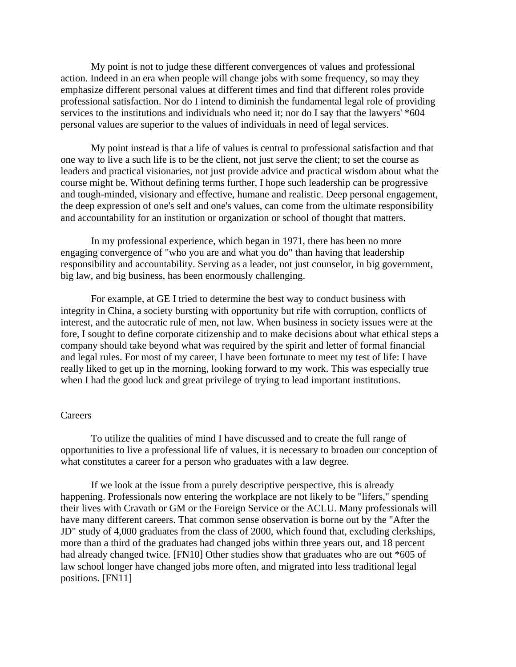My point is not to judge these different convergences of values and professional action. Indeed in an era when people will change jobs with some frequency, so may they emphasize different personal values at different times and find that different roles provide professional satisfaction. Nor do I intend to diminish the fundamental legal role of providing services to the institutions and individuals who need it; nor do I say that the lawyers' \*604 personal values are superior to the values of individuals in need of legal services.

My point instead is that a life of values is central to professional satisfaction and that one way to live a such life is to be the client, not just serve the client; to set the course as leaders and practical visionaries, not just provide advice and practical wisdom about what the course might be. Without defining terms further, I hope such leadership can be progressive and tough-minded, visionary and effective, humane and realistic. Deep personal engagement, the deep expression of one's self and one's values, can come from the ultimate responsibility and accountability for an institution or organization or school of thought that matters.

In my professional experience, which began in 1971, there has been no more engaging convergence of "who you are and what you do" than having that leadership responsibility and accountability. Serving as a leader, not just counselor, in big government, big law, and big business, has been enormously challenging.

For example, at GE I tried to determine the best way to conduct business with integrity in China, a society bursting with opportunity but rife with corruption, conflicts of interest, and the autocratic rule of men, not law. When business in society issues were at the fore, I sought to define corporate citizenship and to make decisions about what ethical steps a company should take beyond what was required by the spirit and letter of formal financial and legal rules. For most of my career, I have been fortunate to meet my test of life: I have really liked to get up in the morning, looking forward to my work. This was especially true when I had the good luck and great privilege of trying to lead important institutions.

# Careers

To utilize the qualities of mind I have discussed and to create the full range of opportunities to live a professional life of values, it is necessary to broaden our conception of what constitutes a career for a person who graduates with a law degree.

If we look at the issue from a purely descriptive perspective, this is already happening. Professionals now entering the workplace are not likely to be "lifers," spending their lives with Cravath or GM or the Foreign Service or the ACLU. Many professionals will have many different careers. That common sense observation is borne out by the "After the JD" study of 4,000 graduates from the class of 2000, which found that, excluding clerkships, more than a third of the graduates had changed jobs within three years out, and 18 percent had already changed twice. [FN10] Other studies show that graduates who are out \*605 of law school longer have changed jobs more often, and migrated into less traditional legal positions. [FN11]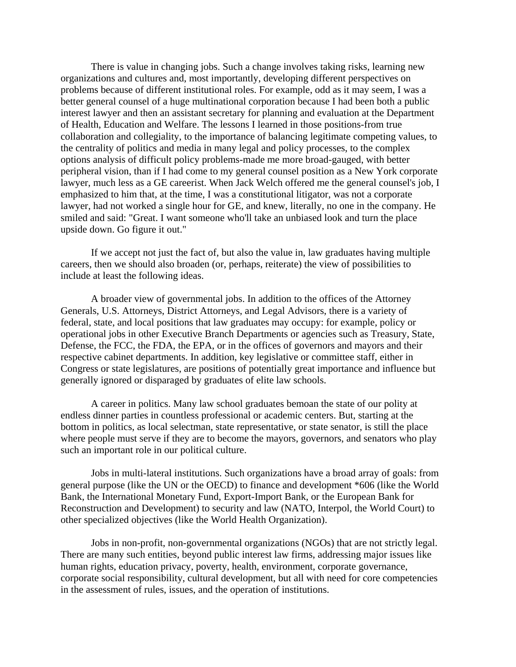There is value in changing jobs. Such a change involves taking risks, learning new organizations and cultures and, most importantly, developing different perspectives on problems because of different institutional roles. For example, odd as it may seem, I was a better general counsel of a huge multinational corporation because I had been both a public interest lawyer and then an assistant secretary for planning and evaluation at the Department of Health, Education and Welfare. The lessons I learned in those positions-from true collaboration and collegiality, to the importance of balancing legitimate competing values, to the centrality of politics and media in many legal and policy processes, to the complex options analysis of difficult policy problems-made me more broad-gauged, with better peripheral vision, than if I had come to my general counsel position as a New York corporate lawyer, much less as a GE careerist. When Jack Welch offered me the general counsel's job, I emphasized to him that, at the time, I was a constitutional litigator, was not a corporate lawyer, had not worked a single hour for GE, and knew, literally, no one in the company. He smiled and said: "Great. I want someone who'll take an unbiased look and turn the place upside down. Go figure it out."

If we accept not just the fact of, but also the value in, law graduates having multiple careers, then we should also broaden (or, perhaps, reiterate) the view of possibilities to include at least the following ideas.

A broader view of governmental jobs. In addition to the offices of the Attorney Generals, U.S. Attorneys, District Attorneys, and Legal Advisors, there is a variety of federal, state, and local positions that law graduates may occupy: for example, policy or operational jobs in other Executive Branch Departments or agencies such as Treasury, State, Defense, the FCC, the FDA, the EPA, or in the offices of governors and mayors and their respective cabinet departments. In addition, key legislative or committee staff, either in Congress or state legislatures, are positions of potentially great importance and influence but generally ignored or disparaged by graduates of elite law schools.

A career in politics. Many law school graduates bemoan the state of our polity at endless dinner parties in countless professional or academic centers. But, starting at the bottom in politics, as local selectman, state representative, or state senator, is still the place where people must serve if they are to become the mayors, governors, and senators who play such an important role in our political culture.

Jobs in multi-lateral institutions. Such organizations have a broad array of goals: from general purpose (like the UN or the OECD) to finance and development \*606 (like the World Bank, the International Monetary Fund, Export-Import Bank, or the European Bank for Reconstruction and Development) to security and law (NATO, Interpol, the World Court) to other specialized objectives (like the World Health Organization).

Jobs in non-profit, non-governmental organizations (NGOs) that are not strictly legal. There are many such entities, beyond public interest law firms, addressing major issues like human rights, education privacy, poverty, health, environment, corporate governance, corporate social responsibility, cultural development, but all with need for core competencies in the assessment of rules, issues, and the operation of institutions.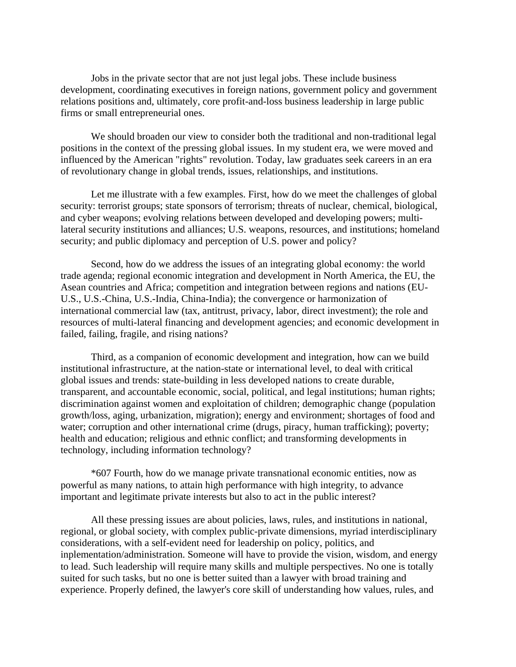Jobs in the private sector that are not just legal jobs. These include business development, coordinating executives in foreign nations, government policy and government relations positions and, ultimately, core profit-and-loss business leadership in large public firms or small entrepreneurial ones.

We should broaden our view to consider both the traditional and non-traditional legal positions in the context of the pressing global issues. In my student era, we were moved and influenced by the American "rights" revolution. Today, law graduates seek careers in an era of revolutionary change in global trends, issues, relationships, and institutions.

Let me illustrate with a few examples. First, how do we meet the challenges of global security: terrorist groups; state sponsors of terrorism; threats of nuclear, chemical, biological, and cyber weapons; evolving relations between developed and developing powers; multilateral security institutions and alliances; U.S. weapons, resources, and institutions; homeland security; and public diplomacy and perception of U.S. power and policy?

Second, how do we address the issues of an integrating global economy: the world trade agenda; regional economic integration and development in North America, the EU, the Asean countries and Africa; competition and integration between regions and nations (EU-U.S., U.S.-China, U.S.-India, China-India); the convergence or harmonization of international commercial law (tax, antitrust, privacy, labor, direct investment); the role and resources of multi-lateral financing and development agencies; and economic development in failed, failing, fragile, and rising nations?

Third, as a companion of economic development and integration, how can we build institutional infrastructure, at the nation-state or international level, to deal with critical global issues and trends: state-building in less developed nations to create durable, transparent, and accountable economic, social, political, and legal institutions; human rights; discrimination against women and exploitation of children; demographic change (population growth/loss, aging, urbanization, migration); energy and environment; shortages of food and water; corruption and other international crime (drugs, piracy, human trafficking); poverty; health and education; religious and ethnic conflict; and transforming developments in technology, including information technology?

\*607 Fourth, how do we manage private transnational economic entities, now as powerful as many nations, to attain high performance with high integrity, to advance important and legitimate private interests but also to act in the public interest?

All these pressing issues are about policies, laws, rules, and institutions in national, regional, or global society, with complex public-private dimensions, myriad interdisciplinary considerations, with a self-evident need for leadership on policy, politics, and inplementation/administration. Someone will have to provide the vision, wisdom, and energy to lead. Such leadership will require many skills and multiple perspectives. No one is totally suited for such tasks, but no one is better suited than a lawyer with broad training and experience. Properly defined, the lawyer's core skill of understanding how values, rules, and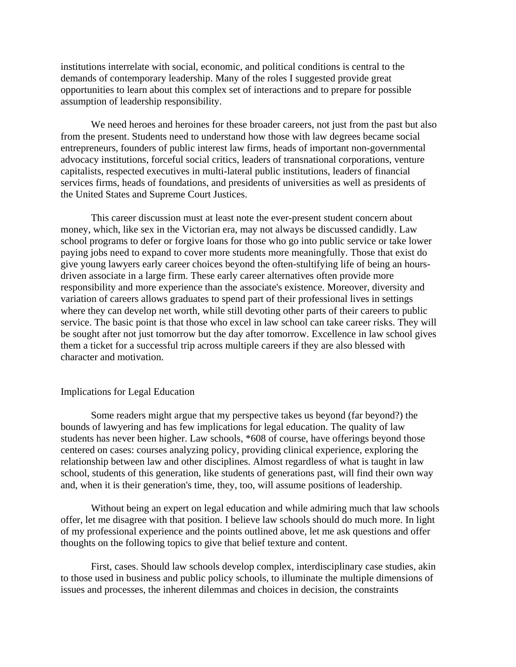institutions interrelate with social, economic, and political conditions is central to the demands of contemporary leadership. Many of the roles I suggested provide great opportunities to learn about this complex set of interactions and to prepare for possible assumption of leadership responsibility.

We need heroes and heroines for these broader careers, not just from the past but also from the present. Students need to understand how those with law degrees became social entrepreneurs, founders of public interest law firms, heads of important non-governmental advocacy institutions, forceful social critics, leaders of transnational corporations, venture capitalists, respected executives in multi-lateral public institutions, leaders of financial services firms, heads of foundations, and presidents of universities as well as presidents of the United States and Supreme Court Justices.

This career discussion must at least note the ever-present student concern about money, which, like sex in the Victorian era, may not always be discussed candidly. Law school programs to defer or forgive loans for those who go into public service or take lower paying jobs need to expand to cover more students more meaningfully. Those that exist do give young lawyers early career choices beyond the often-stultifying life of being an hoursdriven associate in a large firm. These early career alternatives often provide more responsibility and more experience than the associate's existence. Moreover, diversity and variation of careers allows graduates to spend part of their professional lives in settings where they can develop net worth, while still devoting other parts of their careers to public service. The basic point is that those who excel in law school can take career risks. They will be sought after not just tomorrow but the day after tomorrow. Excellence in law school gives them a ticket for a successful trip across multiple careers if they are also blessed with character and motivation.

# Implications for Legal Education

Some readers might argue that my perspective takes us beyond (far beyond?) the bounds of lawyering and has few implications for legal education. The quality of law students has never been higher. Law schools, \*608 of course, have offerings beyond those centered on cases: courses analyzing policy, providing clinical experience, exploring the relationship between law and other disciplines. Almost regardless of what is taught in law school, students of this generation, like students of generations past, will find their own way and, when it is their generation's time, they, too, will assume positions of leadership.

Without being an expert on legal education and while admiring much that law schools offer, let me disagree with that position. I believe law schools should do much more. In light of my professional experience and the points outlined above, let me ask questions and offer thoughts on the following topics to give that belief texture and content.

 First, cases. Should law schools develop complex, interdisciplinary case studies, akin to those used in business and public policy schools, to illuminate the multiple dimensions of issues and processes, the inherent dilemmas and choices in decision, the constraints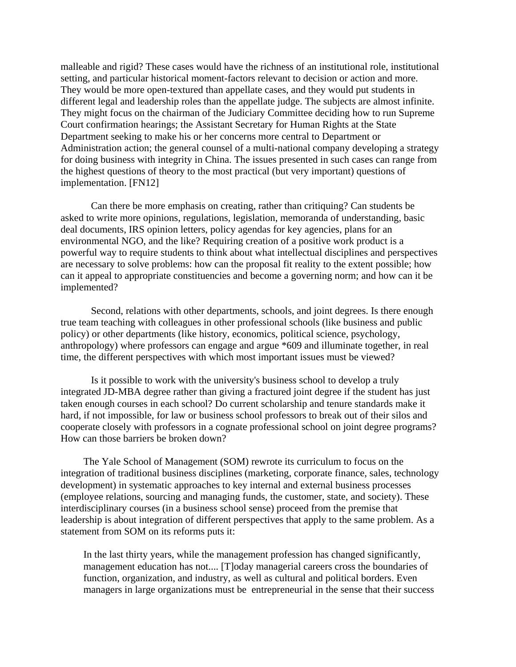malleable and rigid? These cases would have the richness of an institutional role, institutional setting, and particular historical moment-factors relevant to decision or action and more. They would be more open-textured than appellate cases, and they would put students in different legal and leadership roles than the appellate judge. The subjects are almost infinite. They might focus on the chairman of the Judiciary Committee deciding how to run Supreme Court confirmation hearings; the Assistant Secretary for Human Rights at the State Department seeking to make his or her concerns more central to Department or Administration action; the general counsel of a multi-national company developing a strategy for doing business with integrity in China. The issues presented in such cases can range from the highest questions of theory to the most practical (but very important) questions of implementation. [FN12]

Can there be more emphasis on creating, rather than critiquing? Can students be asked to write more opinions, regulations, legislation, memoranda of understanding, basic deal documents, IRS opinion letters, policy agendas for key agencies, plans for an environmental NGO, and the like? Requiring creation of a positive work product is a powerful way to require students to think about what intellectual disciplines and perspectives are necessary to solve problems: how can the proposal fit reality to the extent possible; how can it appeal to appropriate constituencies and become a governing norm; and how can it be implemented?

Second, relations with other departments, schools, and joint degrees. Is there enough true team teaching with colleagues in other professional schools (like business and public policy) or other departments (like history, economics, political science, psychology, anthropology) where professors can engage and argue \*609 and illuminate together, in real time, the different perspectives with which most important issues must be viewed?

Is it possible to work with the university's business school to develop a truly integrated JD-MBA degree rather than giving a fractured joint degree if the student has just taken enough courses in each school? Do current scholarship and tenure standards make it hard, if not impossible, for law or business school professors to break out of their silos and cooperate closely with professors in a cognate professional school on joint degree programs? How can those barriers be broken down?

The Yale School of Management (SOM) rewrote its curriculum to focus on the integration of traditional business disciplines (marketing, corporate finance, sales, technology development) in systematic approaches to key internal and external business processes (employee relations, sourcing and managing funds, the customer, state, and society). These interdisciplinary courses (in a business school sense) proceed from the premise that leadership is about integration of different perspectives that apply to the same problem. As a statement from SOM on its reforms puts it:

In the last thirty years, while the management profession has changed significantly, management education has not.... [T]oday managerial careers cross the boundaries of function, organization, and industry, as well as cultural and political borders. Even managers in large organizations must be entrepreneurial in the sense that their success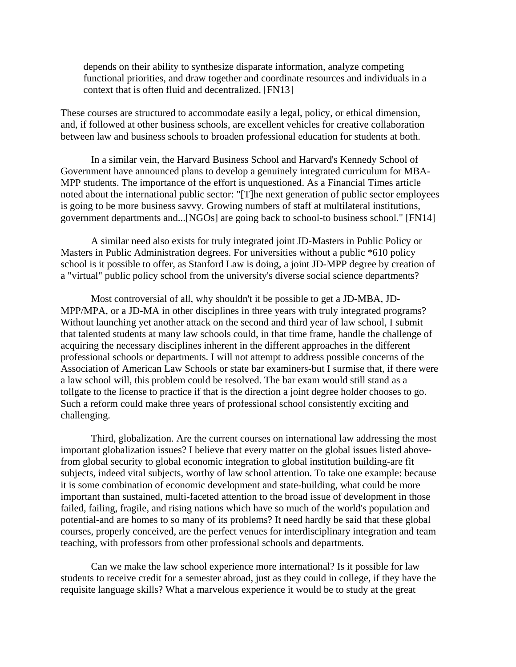depends on their ability to synthesize disparate information, analyze competing functional priorities, and draw together and coordinate resources and individuals in a context that is often fluid and decentralized. [FN13]

These courses are structured to accommodate easily a legal, policy, or ethical dimension, and, if followed at other business schools, are excellent vehicles for creative collaboration between law and business schools to broaden professional education for students at both.

In a similar vein, the Harvard Business School and Harvard's Kennedy School of Government have announced plans to develop a genuinely integrated curriculum for MBA-MPP students. The importance of the effort is unquestioned. As a Financial Times article noted about the international public sector: "[T]he next generation of public sector employees is going to be more business savvy. Growing numbers of staff at multilateral institutions, government departments and...[NGOs] are going back to school-to business school." [FN14]

A similar need also exists for truly integrated joint JD-Masters in Public Policy or Masters in Public Administration degrees. For universities without a public \*610 policy school is it possible to offer, as Stanford Law is doing, a joint JD-MPP degree by creation of a "virtual" public policy school from the university's diverse social science departments?

Most controversial of all, why shouldn't it be possible to get a JD-MBA, JD-MPP/MPA, or a JD-MA in other disciplines in three years with truly integrated programs? Without launching yet another attack on the second and third year of law school, I submit that talented students at many law schools could, in that time frame, handle the challenge of acquiring the necessary disciplines inherent in the different approaches in the different professional schools or departments. I will not attempt to address possible concerns of the Association of American Law Schools or state bar examiners-but I surmise that, if there were a law school will, this problem could be resolved. The bar exam would still stand as a tollgate to the license to practice if that is the direction a joint degree holder chooses to go. Such a reform could make three years of professional school consistently exciting and challenging.

Third, globalization. Are the current courses on international law addressing the most important globalization issues? I believe that every matter on the global issues listed abovefrom global security to global economic integration to global institution building-are fit subjects, indeed vital subjects, worthy of law school attention. To take one example: because it is some combination of economic development and state-building, what could be more important than sustained, multi-faceted attention to the broad issue of development in those failed, failing, fragile, and rising nations which have so much of the world's population and potential-and are homes to so many of its problems? It need hardly be said that these global courses, properly conceived, are the perfect venues for interdisciplinary integration and team teaching, with professors from other professional schools and departments.

Can we make the law school experience more international? Is it possible for law students to receive credit for a semester abroad, just as they could in college, if they have the requisite language skills? What a marvelous experience it would be to study at the great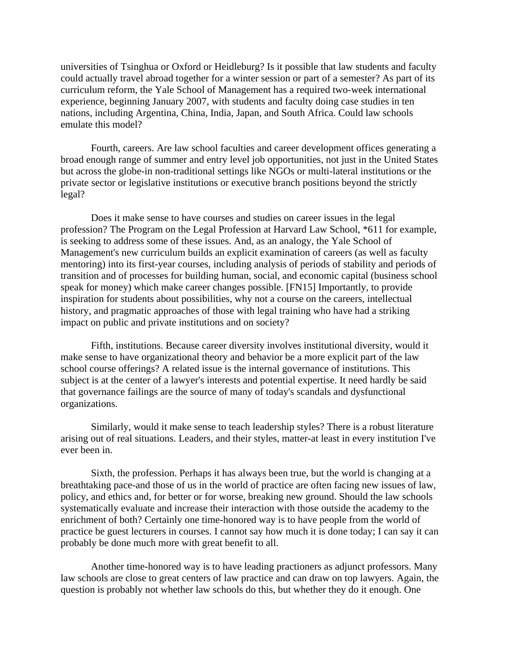universities of Tsinghua or Oxford or Heidleburg? Is it possible that law students and faculty could actually travel abroad together for a winter session or part of a semester? As part of its curriculum reform, the Yale School of Management has a required two-week international experience, beginning January 2007, with students and faculty doing case studies in ten nations, including Argentina, China, India, Japan, and South Africa. Could law schools emulate this model?

Fourth, careers. Are law school faculties and career development offices generating a broad enough range of summer and entry level job opportunities, not just in the United States but across the globe-in non-traditional settings like NGOs or multi-lateral institutions or the private sector or legislative institutions or executive branch positions beyond the strictly legal?

Does it make sense to have courses and studies on career issues in the legal profession? The Program on the Legal Profession at Harvard Law School, \*611 for example, is seeking to address some of these issues. And, as an analogy, the Yale School of Management's new curriculum builds an explicit examination of careers (as well as faculty mentoring) into its first-year courses, including analysis of periods of stability and periods of transition and of processes for building human, social, and economic capital (business school speak for money) which make career changes possible. [FN15] Importantly, to provide inspiration for students about possibilities, why not a course on the careers, intellectual history, and pragmatic approaches of those with legal training who have had a striking impact on public and private institutions and on society?

Fifth, institutions. Because career diversity involves institutional diversity, would it make sense to have organizational theory and behavior be a more explicit part of the law school course offerings? A related issue is the internal governance of institutions. This subject is at the center of a lawyer's interests and potential expertise. It need hardly be said that governance failings are the source of many of today's scandals and dysfunctional organizations.

Similarly, would it make sense to teach leadership styles? There is a robust literature arising out of real situations. Leaders, and their styles, matter-at least in every institution I've ever been in.

Sixth, the profession. Perhaps it has always been true, but the world is changing at a breathtaking pace-and those of us in the world of practice are often facing new issues of law, policy, and ethics and, for better or for worse, breaking new ground. Should the law schools systematically evaluate and increase their interaction with those outside the academy to the enrichment of both? Certainly one time-honored way is to have people from the world of practice be guest lecturers in courses. I cannot say how much it is done today; I can say it can probably be done much more with great benefit to all.

Another time-honored way is to have leading practioners as adjunct professors. Many law schools are close to great centers of law practice and can draw on top lawyers. Again, the question is probably not whether law schools do this, but whether they do it enough. One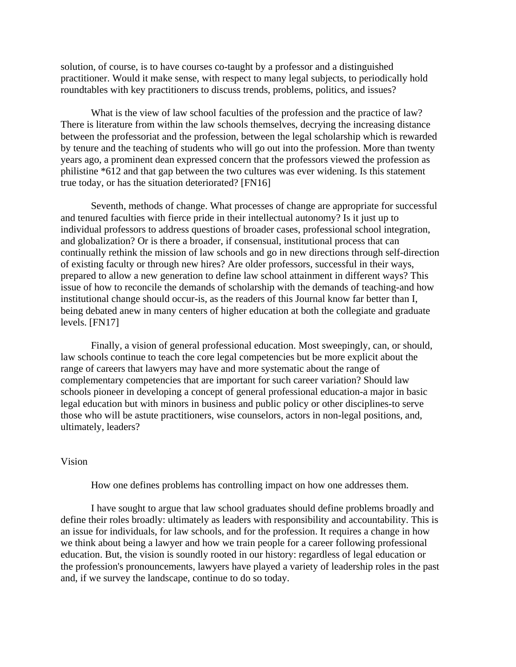solution, of course, is to have courses co-taught by a professor and a distinguished practitioner. Would it make sense, with respect to many legal subjects, to periodically hold roundtables with key practitioners to discuss trends, problems, politics, and issues?

What is the view of law school faculties of the profession and the practice of law? There is literature from within the law schools themselves, decrying the increasing distance between the professoriat and the profession, between the legal scholarship which is rewarded by tenure and the teaching of students who will go out into the profession. More than twenty years ago, a prominent dean expressed concern that the professors viewed the profession as philistine \*612 and that gap between the two cultures was ever widening. Is this statement true today, or has the situation deteriorated? [FN16]

Seventh, methods of change. What processes of change are appropriate for successful and tenured faculties with fierce pride in their intellectual autonomy? Is it just up to individual professors to address questions of broader cases, professional school integration, and globalization? Or is there a broader, if consensual, institutional process that can continually rethink the mission of law schools and go in new directions through self-direction of existing faculty or through new hires? Are older professors, successful in their ways, prepared to allow a new generation to define law school attainment in different ways? This issue of how to reconcile the demands of scholarship with the demands of teaching-and how institutional change should occur-is, as the readers of this Journal know far better than I, being debated anew in many centers of higher education at both the collegiate and graduate levels. [FN17]

Finally, a vision of general professional education. Most sweepingly, can, or should, law schools continue to teach the core legal competencies but be more explicit about the range of careers that lawyers may have and more systematic about the range of complementary competencies that are important for such career variation? Should law schools pioneer in developing a concept of general professional education-a major in basic legal education but with minors in business and public policy or other disciplines-to serve those who will be astute practitioners, wise counselors, actors in non-legal positions, and, ultimately, leaders?

## Vision

How one defines problems has controlling impact on how one addresses them.

I have sought to argue that law school graduates should define problems broadly and define their roles broadly: ultimately as leaders with responsibility and accountability. This is an issue for individuals, for law schools, and for the profession. It requires a change in how we think about being a lawyer and how we train people for a career following professional education. But, the vision is soundly rooted in our history: regardless of legal education or the profession's pronouncements, lawyers have played a variety of leadership roles in the past and, if we survey the landscape, continue to do so today.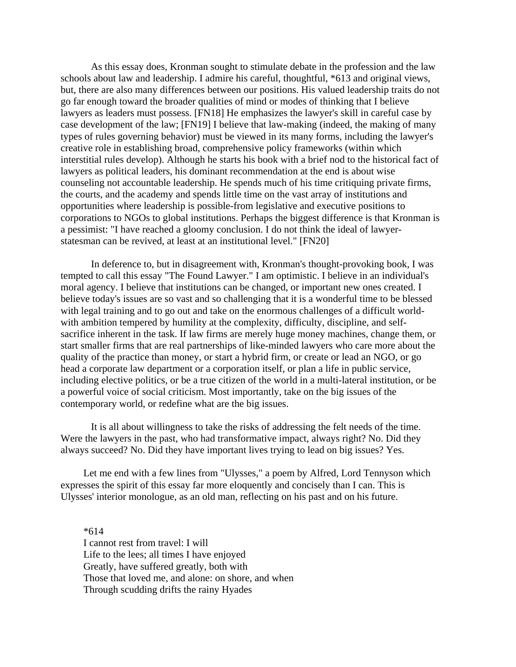As this essay does, Kronman sought to stimulate debate in the profession and the law schools about law and leadership. I admire his careful, thoughtful, \*613 and original views, but, there are also many differences between our positions. His valued leadership traits do not go far enough toward the broader qualities of mind or modes of thinking that I believe lawyers as leaders must possess. [FN18] He emphasizes the lawyer's skill in careful case by case development of the law; [FN19] I believe that law-making (indeed, the making of many types of rules governing behavior) must be viewed in its many forms, including the lawyer's creative role in establishing broad, comprehensive policy frameworks (within which interstitial rules develop). Although he starts his book with a brief nod to the historical fact of lawyers as political leaders, his dominant recommendation at the end is about wise counseling not accountable leadership. He spends much of his time critiquing private firms, the courts, and the academy and spends little time on the vast array of institutions and opportunities where leadership is possible-from legislative and executive positions to corporations to NGOs to global institutions. Perhaps the biggest difference is that Kronman is a pessimist: "I have reached a gloomy conclusion. I do not think the ideal of lawyerstatesman can be revived, at least at an institutional level." [FN20]

In deference to, but in disagreement with, Kronman's thought-provoking book, I was tempted to call this essay "The Found Lawyer." I am optimistic. I believe in an individual's moral agency. I believe that institutions can be changed, or important new ones created. I believe today's issues are so vast and so challenging that it is a wonderful time to be blessed with legal training and to go out and take on the enormous challenges of a difficult worldwith ambition tempered by humility at the complexity, difficulty, discipline, and selfsacrifice inherent in the task. If law firms are merely huge money machines, change them, or start smaller firms that are real partnerships of like-minded lawyers who care more about the quality of the practice than money, or start a hybrid firm, or create or lead an NGO, or go head a corporate law department or a corporation itself, or plan a life in public service, including elective politics, or be a true citizen of the world in a multi-lateral institution, or be a powerful voice of social criticism. Most importantly, take on the big issues of the contemporary world, or redefine what are the big issues.

It is all about willingness to take the risks of addressing the felt needs of the time. Were the lawyers in the past, who had transformative impact, always right? No. Did they always succeed? No. Did they have important lives trying to lead on big issues? Yes.

Let me end with a few lines from "Ulysses," a poem by Alfred, Lord Tennyson which expresses the spirit of this essay far more eloquently and concisely than I can. This is Ulysses' interior monologue, as an old man, reflecting on his past and on his future.

\*614 I cannot rest from travel: I will Life to the lees; all times I have enjoyed Greatly, have suffered greatly, both with Those that loved me, and alone: on shore, and when Through scudding drifts the rainy Hyades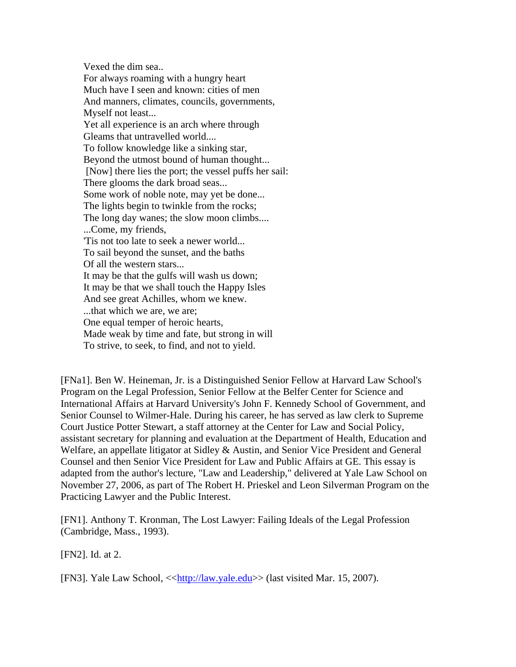Vexed the dim sea.. For always roaming with a hungry heart Much have I seen and known: cities of men And manners, climates, councils, governments, Myself not least... Yet all experience is an arch where through Gleams that untravelled world.... To follow knowledge like a sinking star, Beyond the utmost bound of human thought... [Now] there lies the port; the vessel puffs her sail: There glooms the dark broad seas... Some work of noble note, may yet be done... The lights begin to twinkle from the rocks; The long day wanes; the slow moon climbs.... ...Come, my friends, 'Tis not too late to seek a newer world... To sail beyond the sunset, and the baths Of all the western stars... It may be that the gulfs will wash us down; It may be that we shall touch the Happy Isles And see great Achilles, whom we knew. ...that which we are, we are; One equal temper of heroic hearts, Made weak by time and fate, but strong in will To strive, to seek, to find, and not to yield.

[FNa1]. Ben W. Heineman, Jr. is a Distinguished Senior Fellow at Harvard Law School's Program on the Legal Profession, Senior Fellow at the Belfer Center for Science and International Affairs at Harvard University's John F. Kennedy School of Government, and Senior Counsel to Wilmer-Hale. During his career, he has served as law clerk to Supreme Court Justice Potter Stewart, a staff attorney at the Center for Law and Social Policy, assistant secretary for planning and evaluation at the Department of Health, Education and Welfare, an appellate litigator at Sidley & Austin, and Senior Vice President and General Counsel and then Senior Vice President for Law and Public Affairs at GE. This essay is adapted from the author's lecture, "Law and Leadership," delivered at Yale Law School on November 27, 2006, as part of The Robert H. Prieskel and Leon Silverman Program on the Practicing Lawyer and the Public Interest.

[FN1]. Anthony T. Kronman, The Lost Lawyer: Failing Ideals of the Legal Profession (Cambridge, Mass., 1993).

[FN2]. Id. at 2.

[FN3]. Yale Law School, <[<http://law.yale.edu>](http://law.yale.edu/)> (last visited Mar. 15, 2007).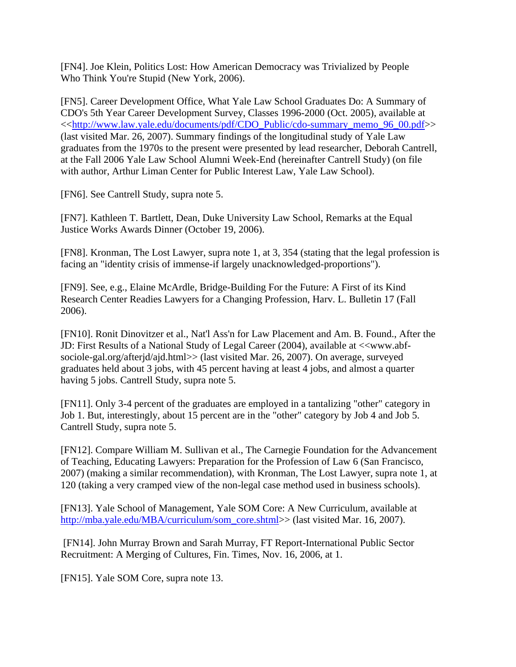[FN4]. Joe Klein, Politics Lost: How American Democracy was Trivialized by People Who Think You're Stupid (New York, 2006).

[FN5]. Career Development Office, What Yale Law School Graduates Do: A Summary of CDO's 5th Year Career Development Survey, Classes 1996-2000 (Oct. 2005), available at <<[http://www.law.yale.edu/documents/pdf/CDO\\_Public/cdo-summary\\_memo\\_96\\_00.pdf](http://www.law.yale.edu/documents/pdf/CDO_Public/cdo-summary_memo_96_00.pdf)>> (last visited Mar. 26, 2007). Summary findings of the longitudinal study of Yale Law graduates from the 1970s to the present were presented by lead researcher, Deborah Cantrell, at the Fall 2006 Yale Law School Alumni Week-End (hereinafter Cantrell Study) (on file with author, Arthur Liman Center for Public Interest Law, Yale Law School).

[FN6]. See Cantrell Study, supra note 5.

[FN7]. Kathleen T. Bartlett, Dean, Duke University Law School, Remarks at the Equal Justice Works Awards Dinner (October 19, 2006).

[FN8]. Kronman, The Lost Lawyer, supra note 1, at 3, 354 (stating that the legal profession is facing an "identity crisis of immense-if largely unacknowledged-proportions").

[FN9]. See, e.g., Elaine McArdle, Bridge-Building For the Future: A First of its Kind Research Center Readies Lawyers for a Changing Profession, Harv. L. Bulletin 17 (Fall 2006).

[FN10]. Ronit Dinovitzer et al., Nat'l Ass'n for Law Placement and Am. B. Found., After the JD: First Results of a National Study of Legal Career (2004), available at <<www.abfsociole-gal.org/afterjd/ajd.html>> (last visited Mar. 26, 2007). On average, surveyed graduates held about 3 jobs, with 45 percent having at least 4 jobs, and almost a quarter having 5 jobs. Cantrell Study, supra note 5.

[FN11]. Only 3-4 percent of the graduates are employed in a tantalizing "other" category in Job 1. But, interestingly, about 15 percent are in the "other" category by Job 4 and Job 5. Cantrell Study, supra note 5.

[FN12]. Compare William M. Sullivan et al., The Carnegie Foundation for the Advancement of Teaching, Educating Lawyers: Preparation for the Profession of Law 6 (San Francisco, 2007) (making a similar recommendation), with Kronman, The Lost Lawyer, supra note 1, at 120 (taking a very cramped view of the non-legal case method used in business schools).

[FN13]. Yale School of Management, Yale SOM Core: A New Curriculum, available at [http://mba.yale.edu/MBA/curriculum/som\\_core.shtml>](http://mba.yale.edu/MBA/curriculum/som_core.shtml)> (last visited Mar. 16, 2007).

 [FN14]. John Murray Brown and Sarah Murray, FT Report-International Public Sector Recruitment: A Merging of Cultures, Fin. Times, Nov. 16, 2006, at 1.

[FN15]. Yale SOM Core, supra note 13.